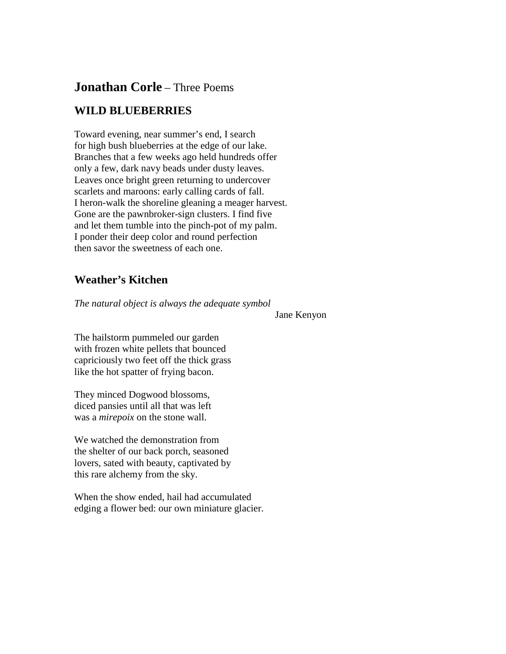## **Jonathan Corle** – Three Poems

## **WILD BLUEBERRIES**

Toward evening, near summer's end, I search for high bush blueberries at the edge of our lake. Branches that a few weeks ago held hundreds offer only a few, dark navy beads under dusty leaves. Leaves once bright green returning to undercover scarlets and maroons: early calling cards of fall. I heron-walk the shoreline gleaning a meager harvest. Gone are the pawnbroker-sign clusters. I find five and let them tumble into the pinch-pot of my palm. I ponder their deep color and round perfection then savor the sweetness of each one.

## **Weather's Kitchen**

*The natural object is always the adequate symbol*

Jane Kenyon

The hailstorm pummeled our garden with frozen white pellets that bounced capriciously two feet off the thick grass like the hot spatter of frying bacon.

They minced Dogwood blossoms, diced pansies until all that was left was a *mirepoix* on the stone wall.

We watched the demonstration from the shelter of our back porch, seasoned lovers, sated with beauty, captivated by this rare alchemy from the sky.

When the show ended, hail had accumulated edging a flower bed: our own miniature glacier.